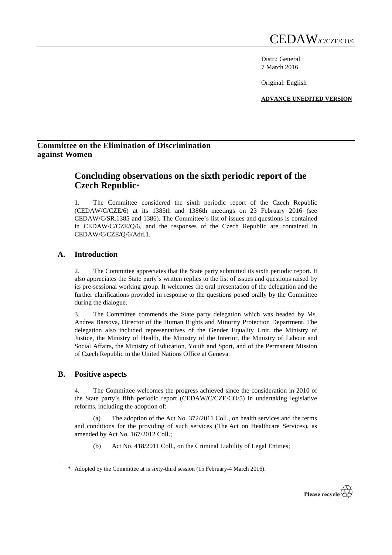Distr.: General 7 March 2016

Original: English

**ADVANCE UNEDITED VERSION**

# **Committee on the Elimination of Discrimination against Women**

# **Concluding observations on the sixth periodic report of the Czech Republic\***

1. The Committee considered the sixth periodic report of the Czech Republic (CEDAW/C/CZE/6) at its 1385th and 1386th meetings on 23 February 2016 (see CEDAW/C/SR.1385 and 1386). The Committee's list of issues and questions is contained in CEDAW/C/CZE/Q/6, and the responses of the Czech Republic are contained in CEDAW/C/CZE/Q/6/Add.1.

## **A. Introduction**

2. The Committee appreciates that the State party submitted its sixth periodic report. It also appreciates the State party's written replies to the list of issues and questions raised by its pre-sessional working group. It welcomes the oral presentation of the delegation and the further clarifications provided in response to the questions posed orally by the Committee during the dialogue.

3. The Committee commends the State party delegation which was headed by Ms. Andrea Barsova, Director of the Human Rights and Minority Protection Department. The delegation also included representatives of the Gender Equality Unit, the Ministry of Justice, the Ministry of Health, the Ministry of the Interior, the Ministry of Labour and Social Affairs, the Ministry of Education, Youth and Sport, and of the Permanent Mission of Czech Republic to the United Nations Office at Geneva.

### **B. Positive aspects**

4. The Committee welcomes the progress achieved since the consideration in 2010 of the State party's fifth periodic report (CEDAW/C/CZE/CO/5) in undertaking legislative reforms, including the adoption of:

(a) The adoption of the Act No. 372/2011 Coll., on health services and the terms and conditions for the providing of such services (The Act on Healthcare Services), as amended by Act No. 167/2012 Coll.;

(b) Act No. 418/2011 Coll., on the Criminal Liability of Legal Entities;



<sup>\*</sup> Adopted by the Committee at is sixty-third session (15 February-4 March 2016).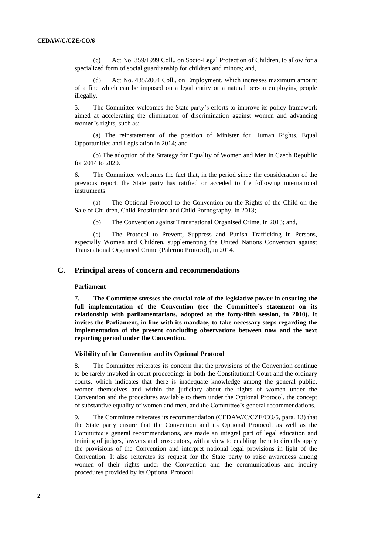(c) Act No. 359/1999 Coll., on Socio-Legal Protection of Children, to allow for a specialized form of social guardianship for children and minors; and,

Act No. 435/2004 Coll., on Employment, which increases maximum amount of a fine which can be imposed on a legal entity or a natural person employing people illegally.

5. The Committee welcomes the State party's efforts to improve its policy framework aimed at accelerating the elimination of discrimination against women and advancing women's rights, such as:

(a) The reinstatement of the position of Minister for Human Rights, Equal Opportunities and Legislation in 2014; and

(b) The adoption of the Strategy for Equality of Women and Men in Czech Republic for 2014 to 2020.

6. The Committee welcomes the fact that, in the period since the consideration of the previous report, the State party has ratified or acceded to the following international instruments:

(a) The Optional Protocol to the Convention on the Rights of the Child on the Sale of Children, Child Prostitution and Child Pornography, in 2013;

(b) The Convention against Transnational Organised Crime, in 2013; and,

(c) The Protocol to Prevent, Suppress and Punish Trafficking in Persons, especially Women and Children, supplementing the United Nations Convention against Transnational Organised Crime (Palermo Protocol), in 2014.

### **C. Principal areas of concern and recommendations**

#### **Parliament**

7**. The Committee stresses the crucial role of the legislative power in ensuring the full implementation of the Convention (see the Committee's statement on its relationship with parliamentarians, adopted at the forty-fifth session, in 2010). It invites the Parliament, in line with its mandate, to take necessary steps regarding the implementation of the present concluding observations between now and the next reporting period under the Convention.**

#### **Visibility of the Convention and its Optional Protocol**

8. The Committee reiterates its concern that the provisions of the Convention continue to be rarely invoked in court proceedings in both the Constitutional Court and the ordinary courts, which indicates that there is inadequate knowledge among the general public, women themselves and within the judiciary about the rights of women under the Convention and the procedures available to them under the Optional Protocol, the concept of substantive equality of women and men, and the Committee's general recommendations.

9. The Committee reiterates its recommendation (CEDAW/C/CZE/CO/5, para. 13) that the State party ensure that the Convention and its Optional Protocol, as well as the Committee's general recommendations, are made an integral part of legal education and training of judges, lawyers and prosecutors, with a view to enabling them to directly apply the provisions of the Convention and interpret national legal provisions in light of the Convention. It also reiterates its request for the State party to raise awareness among women of their rights under the Convention and the communications and inquiry procedures provided by its Optional Protocol.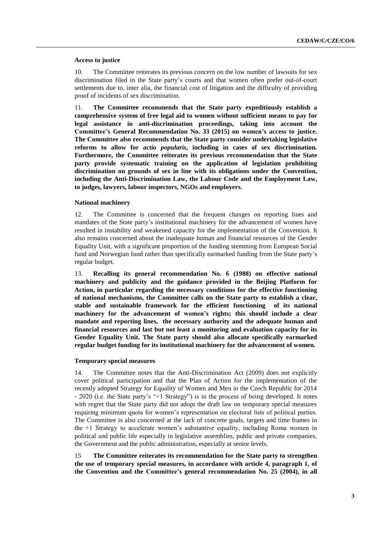#### **Access to justice**

10. The Committee reiterates its previous concern on the low number of lawsuits for sex discrimination filed in the State party's courts and that women often prefer out-of-court settlements due to, inter alia, the financial cost of litigation and the difficulty of providing proof of incidents of sex discrimination.

11. **The Committee recommends that the State party expeditiously establish a comprehensive system of free legal aid to women without sufficient means to pay for legal assistance in anti-discrimination proceedings, taking into account the Committee's General Recommendation No. 33 (2015) on women's access to justice. The Committee also recommends that the State party consider undertaking legislative reforms to allow for** *actio popularis***, including in cases of sex discrimination***.* **Furthermore, the Committee reiterates its previous recommendation that the State party provide systematic training on the application of legislation prohibiting discrimination on grounds of sex in line with its obligations under the Convention, including the Anti-Discrimination Law, the Labour Code and the Employment Law, to judges, lawyers, labour inspectors, NGOs and employers.**

#### **National machinery**

12. The Committee is concerned that the frequent changes on reporting lines and mandates of the State party's institutional machinery for the advancement of women have resulted in instability and weakened capacity for the implementation of the Convention. It also remains concerned about the inadequate human and financial resources of the Gender Equality Unit, with a significant proportion of the funding stemming from European Social fund and Norwegian fund rather than specifically earmarked funding from the State party's regular budget.

13. **Recalling its general recommendation No. 6 (1988) on effective national machinery and publicity and the guidance provided in the Beijing Platform for Action, in particular regarding the necessary conditions for the effective functioning of national mechanisms, the Committee calls on the State party to establish a clear, stable and sustainable framework for the efficient functioning of its national machinery for the advancement of women's rights; this should include a clear mandate and reporting lines, the necessary authority and the adequate human and financial resources and last but not least a monitoring and evaluation capacity for its Gender Equality Unit. The State party should also allocate specifically earmarked regular budget funding for its institutional machinery for the advancement of women.**

#### **Temporary special measures**

14. The Committee notes that the Anti-Discrimination Act (2009) does not explicitly cover political participation and that the Plan of Action for the implementation of the recently adopted Strategy for Equality of Women and Men in the Czech Republic for 2014 - 2020 (i.e. the State party's "+1 Strategy") is in the process of being developed. It notes with regret that the State party did not adopt the draft law on temporary special measures requiring minimum quota for women's representation on electoral lists of political parties. The Committee is also concerned at the lack of concrete goals, targets and time frames in the +1 Strategy to accelerate women's substantive equality, including Roma women in political and public life especially in legislative assemblies, public and private companies, the Government and the public administration, especially at senior levels.

15 **The Committee reiterates its recommendation for the State party to strengthen the use of temporary special measures, in accordance with article 4, paragraph 1, of the Convention and the Committee's general recommendation No. 25 (2004), in all**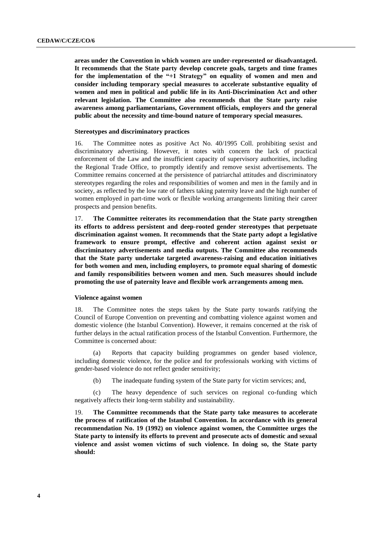**areas under the Convention in which women are under-represented or disadvantaged. It recommends that the State party develop concrete goals, targets and time frames for the implementation of the "+1 Strategy" on equality of women and men and consider including temporary special measures to accelerate substantive equality of women and men in political and public life in its Anti-Discrimination Act and other relevant legislation. The Committee also recommends that the State party raise awareness among parliamentarians, Government officials, employers and the general public about the necessity and time-bound nature of temporary special measures.**

#### **Stereotypes and discriminatory practices**

16. The Committee notes as positive Act No. 40/1995 Coll. prohibiting sexist and discriminatory advertising. However, it notes with concern the lack of practical enforcement of the Law and the insufficient capacity of supervisory authorities, including the Regional Trade Office, to promptly identify and remove sexist advertisements. The Committee remains concerned at the persistence of patriarchal attitudes and discriminatory stereotypes regarding the roles and responsibilities of women and men in the family and in society, as reflected by the low rate of fathers taking paternity leave and the high number of women employed in part-time work or flexible working arrangements limiting their career prospects and pension benefits.

17. **The Committee reiterates its recommendation that the State party strengthen its efforts to address persistent and deep-rooted gender stereotypes that perpetuate discrimination against women. It recommends that the State party adopt a legislative framework to ensure prompt, effective and coherent action against sexist or discriminatory advertisements and media outputs. The Committee also recommends that the State party undertake targeted awareness-raising and education initiatives for both women and men, including employers, to promote equal sharing of domestic and family responsibilities between women and men. Such measures should include promoting the use of paternity leave and flexible work arrangements among men.**

#### **Violence against women**

18. The Committee notes the steps taken by the State party towards ratifying the Council of Europe Convention on preventing and combatting violence against women and domestic violence (the Istanbul Convention). However, it remains concerned at the risk of further delays in the actual ratification process of the Istanbul Convention. Furthermore, the Committee is concerned about:

(a) Reports that capacity building programmes on gender based violence, including domestic violence, for the police and for professionals working with victims of gender-based violence do not reflect gender sensitivity;

(b) The inadequate funding system of the State party for victim services; and,

(c) The heavy dependence of such services on regional co-funding which negatively affects their long-term stability and sustainability.

19. **The Committee recommends that the State party take measures to accelerate the process of ratification of the Istanbul Convention. In accordance with its general recommendation No. 19 (1992) on violence against women, the Committee urges the State party to intensify its efforts to prevent and prosecute acts of domestic and sexual violence and assist women victims of such violence. In doing so, the State party should:**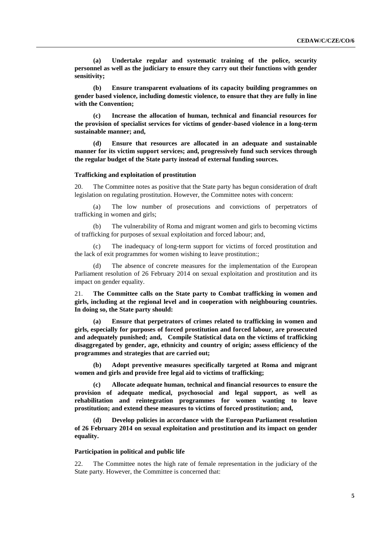**(a) Undertake regular and systematic training of the police, security personnel as well as the judiciary to ensure they carry out their functions with gender sensitivity;**

**(b) Ensure transparent evaluations of its capacity building programmes on gender based violence, including domestic violence, to ensure that they are fully in line with the Convention;** 

**(c) Increase the allocation of human, technical and financial resources for the provision of specialist services for victims of gender-based violence in a long-term sustainable manner; and,**

**(d) Ensure that resources are allocated in an adequate and sustainable manner for its victim support services; and, progressively fund such services through the regular budget of the State party instead of external funding sources.**

#### **Trafficking and exploitation of prostitution**

20. The Committee notes as positive that the State party has begun consideration of draft legislation on regulating prostitution. However, the Committee notes with concern:

(a) The low number of prosecutions and convictions of perpetrators of trafficking in women and girls;

(b) The vulnerability of Roma and migrant women and girls to becoming victims of trafficking for purposes of sexual exploitation and forced labour; and,

The inadequacy of long-term support for victims of forced prostitution and the lack of exit programmes for women wishing to leave prostitution:;

The absence of concrete measures for the implementation of the European Parliament resolution of 26 February 2014 on sexual exploitation and prostitution and its impact on gender equality.

21. **The Committee calls on the State party to Combat trafficking in women and girls, including at the regional level and in cooperation with neighbouring countries. In doing so, the State party should:**

**(a) Ensure that perpetrators of crimes related to trafficking in women and girls, especially for purposes of forced prostitution and forced labour, are prosecuted and adequately punished; and, Compile Statistical data on the victims of trafficking disaggregated by gender, age, ethnicity and country of origin; assess efficiency of the programmes and strategies that are carried out;**

**(b) Adopt preventive measures specifically targeted at Roma and migrant women and girls and provide free legal aid to victims of trafficking;** 

**(c) Allocate adequate human, technical and financial resources to ensure the provision of adequate medical, psychosocial and legal support, as well as rehabilitation and reintegration programmes for women wanting to leave prostitution; and extend these measures to victims of forced prostitution; and,**

**(d) Develop policies in accordance with the European Parliament resolution of 26 February 2014 on sexual exploitation and prostitution and its impact on gender equality.**

#### **Participation in political and public life**

22. The Committee notes the high rate of female representation in the judiciary of the State party. However, the Committee is concerned that: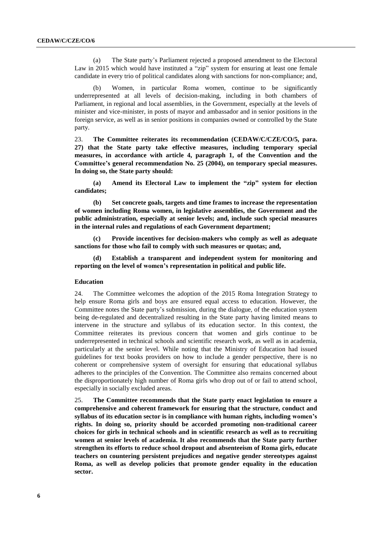(a) The State party's Parliament rejected a proposed amendment to the Electoral Law in 2015 which would have instituted a "zip" system for ensuring at least one female candidate in every trio of political candidates along with sanctions for non-compliance; and,

Women, in particular Roma women, continue to be significantly underrepresented at all levels of decision-making, including in both chambers of Parliament, in regional and local assemblies, in the Government, especially at the levels of minister and vice-minister, in posts of mayor and ambassador and in senior positions in the foreign service, as well as in senior positions in companies owned or controlled by the State party.

23. **The Committee reiterates its recommendation (CEDAW/C/CZE/CO/5, para. 27) that the State party take effective measures, including temporary special measures, in accordance with article 4, paragraph 1, of the Convention and the Committee's general recommendation No. 25 (2004), on temporary special measures. In doing so, the State party should:**

**(a) Amend its Electoral Law to implement the "zip" system for election candidates;**

**(b) Set concrete goals, targets and time frames to increase the representation of women including Roma women, in legislative assemblies, the Government and the public administration, especially at senior levels; and, include such special measures in the internal rules and regulations of each Government department;**

**(c) Provide incentives for decision-makers who comply as well as adequate sanctions for those who fail to comply with such measures or quotas; and,**

**(d) Establish a transparent and independent system for monitoring and reporting on the level of women's representation in political and public life.**

#### **Education**

24. The Committee welcomes the adoption of the 2015 Roma Integration Strategy to help ensure Roma girls and boys are ensured equal access to education. However, the Committee notes the State party's submission, during the dialogue, of the education system being de-regulated and decentralized resulting in the State party having limited means to intervene in the structure and syllabus of its education sector. In this context, the Committee reiterates its previous concern that women and girls continue to be underrepresented in technical schools and scientific research work, as well as in academia, particularly at the senior level. While noting that the Ministry of Education had issued guidelines for text books providers on how to include a gender perspective, there is no coherent or comprehensive system of oversight for ensuring that educational syllabus adheres to the principles of the Convention. The Committee also remains concerned about the disproportionately high number of Roma girls who drop out of or fail to attend school, especially in socially excluded areas.

25. **The Committee recommends that the State party enact legislation to ensure a comprehensive and coherent framework for ensuring that the structure, conduct and syllabus of its education sector is in compliance with human rights, including women's rights. In doing so, priority should be accorded promoting non-traditional career choices for girls in technical schools and in scientific research as well as to recruiting women at senior levels of academia. It also recommends that the State party further strengthen its efforts to reduce school dropout and absenteeism of Roma girls, educate teachers on countering persistent prejudices and negative gender stereotypes against Roma, as well as develop policies that promote gender equality in the education sector.**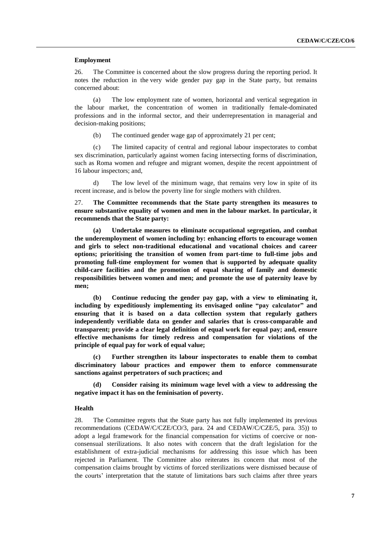#### **Employment**

26. The Committee is concerned about the slow progress during the reporting period. It notes the reduction in the very wide gender pay gap in the State party, but remains concerned about:

(a) The low employment rate of women, horizontal and vertical segregation in the labour market, the concentration of women in traditionally female-dominated professions and in the informal sector, and their underrepresentation in managerial and decision-making positions;

(b) The continued gender wage gap of approximately 21 per cent;

(c) The limited capacity of central and regional labour inspectorates to combat sex discrimination, particularly against women facing intersecting forms of discrimination, such as Roma women and refugee and migrant women, despite the recent appointment of 16 labour inspectors; and,

d) The low level of the minimum wage, that remains very low in spite of its recent increase, and is below the poverty line for single mothers with children.

27. **The Committee recommends that the State party strengthen its measures to ensure substantive equality of women and men in the labour market. In particular, it recommends that the State party:**

**(a) Undertake measures to eliminate occupational segregation, and combat the underemployment of women including by: enhancing efforts to encourage women and girls to select non-traditional educational and vocational choices and career options; prioritising the transition of women from part-time to full-time jobs and promoting full-time employment for women that is supported by adequate quality child-care facilities and the promotion of equal sharing of family and domestic responsibilities between women and men; and promote the use of paternity leave by men;**

**(b) Continue reducing the gender pay gap, with a view to eliminating it, including by expeditiously implementing its envisaged online "pay calculator" and ensuring that it is based on a data collection system that regularly gathers independently verifiable data on gender and salaries that is cross-comparable and transparent; provide a clear legal definition of equal work for equal pay; and, ensure effective mechanisms for timely redress and compensation for violations of the principle of equal pay for work of equal value;**

**(c) Further strengthen its labour inspectorates to enable them to combat discriminatory labour practices and empower them to enforce commensurate sanctions against perpetrators of such practices; and**

**(d) Consider raising its minimum wage level with a view to addressing the negative impact it has on the feminisation of poverty.**

#### **Health**

28. The Committee regrets that the State party has not fully implemented its previous recommendations (CEDAW/C/CZE/CO/3, para. 24 and CEDAW/C/CZE/5, para. 35)) to adopt a legal framework for the financial compensation for victims of coercive or nonconsensual sterilizations. It also notes with concern that the draft legislation for the establishment of extra-judicial mechanisms for addressing this issue which has been rejected in Parliament. The Committee also reiterates its concern that most of the compensation claims brought by victims of forced sterilizations were dismissed because of the courts' interpretation that the statute of limitations bars such claims after three years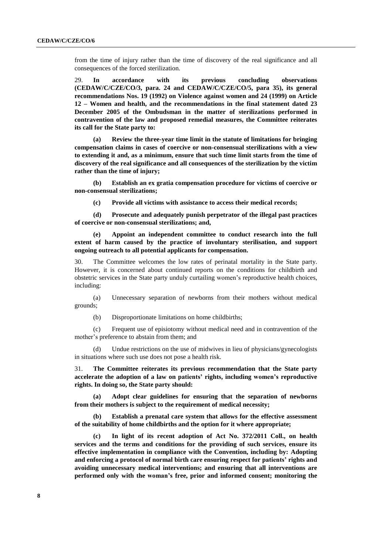from the time of injury rather than the time of discovery of the real significance and all consequences of the forced sterilization.

29. **In accordance with its previous concluding observations (CEDAW/C/CZE/CO/3, para. 24 and CEDAW/C/CZE/CO/5, para 35), its general recommendations Nos. 19 (1992) on Violence against women and 24 (1999) on Article 12 – Women and health, and the recommendations in the final statement dated 23 December 2005 of the Ombudsman in the matter of sterilizations performed in contravention of the law and proposed remedial measures, the Committee reiterates its call for the State party to:**

**(a) Review the three-year time limit in the statute of limitations for bringing compensation claims in cases of coercive or non-consensual sterilizations with a view to extending it and, as a minimum, ensure that such time limit starts from the time of discovery of the real significance and all consequences of the sterilization by the victim rather than the time of injury;**

**(b) Establish an ex gratia compensation procedure for victims of coercive or non-consensual sterilizations;**

**(c) Provide all victims with assistance to access their medical records;**

**(d) Prosecute and adequately punish perpetrator of the illegal past practices of coercive or non-consensual sterilizations; and,**

**(e) Appoint an independent committee to conduct research into the full extent of harm caused by the practice of involuntary sterilisation, and support ongoing outreach to all potential applicants for compensation.**

30. The Committee welcomes the low rates of perinatal mortality in the State party. However, it is concerned about continued reports on the conditions for childbirth and obstetric services in the State party unduly curtailing women's reproductive health choices, including:

(a) Unnecessary separation of newborns from their mothers without medical grounds;

(b) Disproportionate limitations on home childbirths;

(c) Frequent use of episiotomy without medical need and in contravention of the mother's preference to abstain from them; and

(d) Undue restrictions on the use of midwives in lieu of physicians/gynecologists in situations where such use does not pose a health risk.

31. **The Committee reiterates its previous recommendation that the State party accelerate the adoption of a law on patients' rights, including women's reproductive rights. In doing so, the State party should:**

**(a) Adopt clear guidelines for ensuring that the separation of newborns from their mothers is subject to the requirement of medical necessity;**

**(b) Establish a prenatal care system that allows for the effective assessment of the suitability of home childbirths and the option for it where appropriate;**

**(c) In light of its recent adoption of Act No. 372/2011 Coll., on health services and the terms and conditions for the providing of such services, ensure its effective implementation in compliance with the Convention, including by: Adopting and enforcing a protocol of normal birth care ensuring respect for patients' rights and avoiding unnecessary medical interventions; and ensuring that all interventions are performed only with the woman's free, prior and informed consent; monitoring the**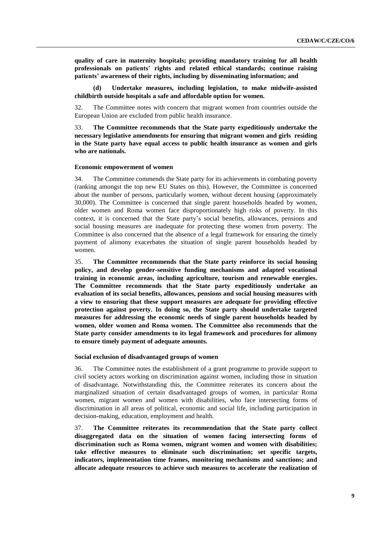**quality of care in maternity hospitals; providing mandatory training for all health professionals on patients' rights and related ethical standards; continue raising patients' awareness of their rights, including by disseminating information; and**

**(d) Undertake measures, including legislation, to make midwife-assisted childbirth outside hospitals a safe and affordable option for women.**

32. The Committee notes with concern that migrant women from countries outside the European Union are excluded from public health insurance.

33. **The Committee recommends that the State party expeditiously undertake the necessary legislative amendments for ensuring that migrant women and girls residing in the State party have equal access to public health insurance as women and girls who are nationals.**

#### **Economic empowerment of women**

34. The Committee commends the State party for its achievements in combating poverty (ranking amongst the top new EU States on this). However, the Committee is concerned about the number of persons, particularly women, without decent housing (approximately 30,000). The Committee is concerned that single parent households headed by women, older women and Roma women face disproportionately high risks of poverty. In this context, it is concerned that the State party's social benefits, allowances, pensions and social housing measures are inadequate for protecting these women from poverty. The Committee is also concerned that the absence of a legal framework for ensuring the timely payment of alimony exacerbates the situation of single parent households headed by women.

35. **The Committee recommends that the State party reinforce its social housing policy, and develop gender-sensitive funding mechanisms and adapted vocational training in economic areas, including agriculture, tourism and renewable energies. The Committee recommends that the State party expeditiously undertake an evaluation of its social benefits, allowances, pensions and social housing measures with a view to ensuring that these support measures are adequate for providing effective protection against poverty. In doing so, the State party should undertake targeted measures for addressing the economic needs of single parent households headed by women, older women and Roma women. The Committee also recommends that the State party consider amendments to its legal framework and procedures for alimony to ensure timely payment of adequate amounts.**

#### **Social exclusion of disadvantaged groups of women**

36. The Committee notes the establishment of a grant programme to provide support to civil society actors working on discrimination against women, including those in situation of disadvantage. Notwithstanding this, the Committee reiterates its concern about the marginalized situation of certain disadvantaged groups of women, in particular Roma women, migrant women and women with disabilities, who face intersecting forms of discrimination in all areas of political, economic and social life, including participation in decision-making, education, employment and health.

37. **The Committee reiterates its recommendation that the State party collect disaggregated data on the situation of women facing intersecting forms of discrimination such as Roma women, migrant women and women with disabilities; take effective measures to eliminate such discrimination; set specific targets, indicators, implementation time frames, monitoring mechanisms and sanctions; and allocate adequate resources to achieve such measures to accelerate the realization of**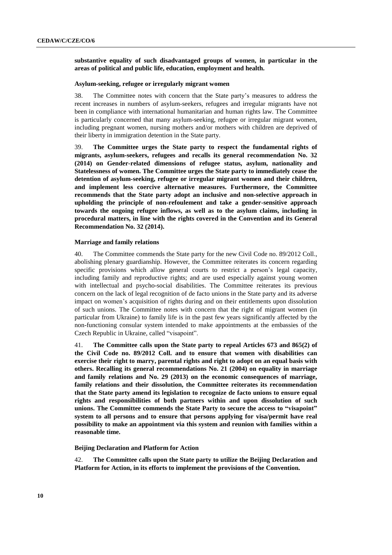**substantive equality of such disadvantaged groups of women, in particular in the areas of political and public life, education, employment and health.**

#### **Asylum-seeking, refugee or irregularly migrant women**

38. The Committee notes with concern that the State party's measures to address the recent increases in numbers of asylum-seekers, refugees and irregular migrants have not been in compliance with international humanitarian and human rights law. The Committee is particularly concerned that many asylum-seeking, refugee or irregular migrant women, including pregnant women, nursing mothers and/or mothers with children are deprived of their liberty in immigration detention in the State party.

39. **The Committee urges the State party to respect the fundamental rights of migrants, asylum-seekers, refugees and recalls its general recommendation No. 32 (2014) on Gender-related dimensions of refugee status, asylum, nationality and Statelessness of women. The Committee urges the State party to immediately cease the detention of asylum-seeking, refugee or irregular migrant women and their children, and implement less coercive alternative measures. Furthermore, the Committee recommends that the State party adopt an inclusive and non-selective approach in upholding the principle of non-refoulement and take a gender-sensitive approach towards the ongoing refugee inflows, as well as to the asylum claims, including in procedural matters, in line with the rights covered in the Convention and its General Recommendation No. 32 (2014).**

#### **Marriage and family relations**

40. The Committee commends the State party for the new Civil Code no. 89/2012 Coll., abolishing plenary guardianship. However, the Committee reiterates its concern regarding specific provisions which allow general courts to restrict a person's legal capacity, including family and reproductive rights; and are used especially against young women with intellectual and psycho-social disabilities. The Committee reiterates its previous concern on the lack of legal recognition of de facto unions in the State party and its adverse impact on women's acquisition of rights during and on their entitlements upon dissolution of such unions. The Committee notes with concern that the right of migrant women (in particular from Ukraine) to family life is in the past few years significantly affected by the non-functioning consular system intended to make appointments at the embassies of the Czech Republic in Ukraine, called "visapoint".

41. **The Committee calls upon the State party to repeal Articles 673 and 865(2) of the Civil Code no. 89/2012 Coll. and to ensure that women with disabilities can exercise their right to marry, parental rights and right to adopt on an equal basis with others. Recalling its general recommendations No. 21 (2004) on equality in marriage and family relations and No. 29 (2013) on the economic consequences of marriage, family relations and their dissolution, the Committee reiterates its recommendation that the State party amend its legislation to recognize de facto unions to ensure equal rights and responsibilities of both partners within and upon dissolution of such unions. The Committee commends the State Party to secure the access to "visapoint" system to all persons and to ensure that persons applying for visa/permit have real possibility to make an appointment via this system and reunion with families within a reasonable time.**

#### **Beijing Declaration and Platform for Action**

42. **The Committee calls upon the State party to utilize the Beijing Declaration and Platform for Action, in its efforts to implement the provisions of the Convention.**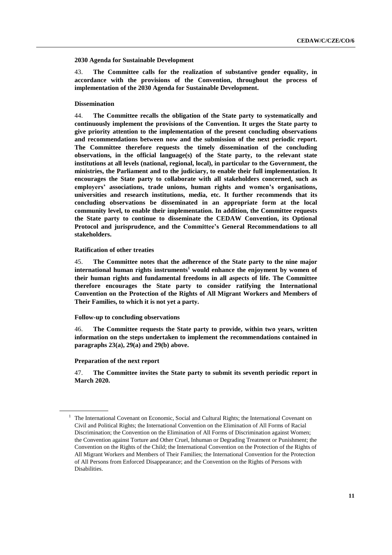#### **2030 Agenda for Sustainable Development**

43. **The Committee calls for the realization of substantive gender equality, in accordance with the provisions of the Convention, throughout the process of implementation of the 2030 Agenda for Sustainable Development.**

#### **Dissemination**

44. **The Committee recalls the obligation of the State party to systematically and continuously implement the provisions of the Convention. It urges the State party to give priority attention to the implementation of the present concluding observations and recommendations between now and the submission of the next periodic report. The Committee therefore requests the timely dissemination of the concluding observations, in the official language(s) of the State party, to the relevant state institutions at all levels (national, regional, local), in particular to the Government, the ministries, the Parliament and to the judiciary, to enable their full implementation. It encourages the State party to collaborate with all stakeholders concerned, such as employers' associations, trade unions, human rights and women's organisations, universities and research institutions, media, etc. It further recommends that its concluding observations be disseminated in an appropriate form at the local community level, to enable their implementation. In addition, the Committee requests the State party to continue to disseminate the CEDAW Convention, its Optional Protocol and jurisprudence, and the Committee's General Recommendations to all stakeholders.**

#### **Ratification of other treaties**

45. **The Committee notes that the adherence of the State party to the nine major international human rights instruments<sup>1</sup> would enhance the enjoyment by women of their human rights and fundamental freedoms in all aspects of life. The Committee therefore encourages the State party to consider ratifying the International Convention on the Protection of the Rights of All Migrant Workers and Members of Their Families, to which it is not yet a party.**

#### **Follow-up to concluding observations**

46. **The Committee requests the State party to provide, within two years, written information on the steps undertaken to implement the recommendations contained in paragraphs 23(a), 29(a) and 29(b) above.**

#### **Preparation of the next report**

47. **The Committee invites the State party to submit its seventh periodic report in March 2020.**

 $<sup>1</sup>$  The International Covenant on Economic, Social and Cultural Rights; the International Covenant on</sup> Civil and Political Rights; the International Convention on the Elimination of All Forms of Racial Discrimination; the Convention on the Elimination of All Forms of Discrimination against Women; the Convention against Torture and Other Cruel, Inhuman or Degrading Treatment or Punishment; the Convention on the Rights of the Child; the International Convention on the Protection of the Rights of All Migrant Workers and Members of Their Families; the International Convention for the Protection of All Persons from Enforced Disappearance; and the Convention on the Rights of Persons with Disabilities.